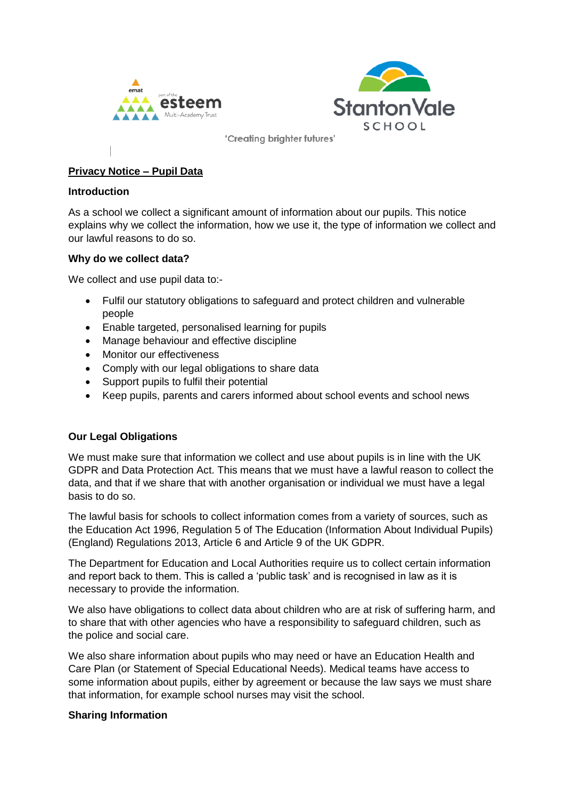



# **Privacy Notice – Pupil Data**

#### **Introduction**

As a school we collect a significant amount of information about our pupils. This notice explains why we collect the information, how we use it, the type of information we collect and our lawful reasons to do so.

#### **Why do we collect data?**

We collect and use pupil data to:-

- Fulfil our statutory obligations to safeguard and protect children and vulnerable people
- Enable targeted, personalised learning for pupils
- Manage behaviour and effective discipline
- Monitor our effectiveness
- Comply with our legal obligations to share data
- Support pupils to fulfil their potential
- Keep pupils, parents and carers informed about school events and school news

### **Our Legal Obligations**

We must make sure that information we collect and use about pupils is in line with the UK GDPR and Data Protection Act. This means that we must have a lawful reason to collect the data, and that if we share that with another organisation or individual we must have a legal basis to do so.

The lawful basis for schools to collect information comes from a variety of sources, such as the Education Act 1996, Regulation 5 of The Education (Information About Individual Pupils) (England) Regulations 2013, Article 6 and Article 9 of the UK GDPR.

The Department for Education and Local Authorities require us to collect certain information and report back to them. This is called a 'public task' and is recognised in law as it is necessary to provide the information.

We also have obligations to collect data about children who are at risk of suffering harm, and to share that with other agencies who have a responsibility to safeguard children, such as the police and social care.

We also share information about pupils who may need or have an Education Health and Care Plan (or Statement of Special Educational Needs). Medical teams have access to some information about pupils, either by agreement or because the law says we must share that information, for example school nurses may visit the school.

### **Sharing Information**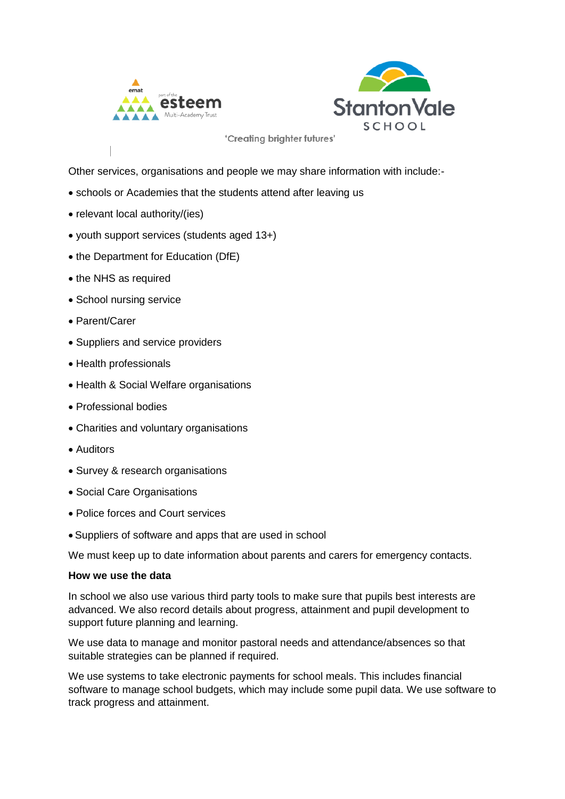



Other services, organisations and people we may share information with include:-

- schools or Academies that the students attend after leaving us
- relevant local authority/(ies)
- youth support services (students aged 13+)
- the Department for Education (DfE)
- the NHS as required
- School nursing service
- Parent/Carer
- Suppliers and service providers
- Health professionals
- Health & Social Welfare organisations
- Professional bodies
- Charities and voluntary organisations
- Auditors
- Survey & research organisations
- Social Care Organisations
- Police forces and Court services
- Suppliers of software and apps that are used in school

We must keep up to date information about parents and carers for emergency contacts.

#### **How we use the data**

In school we also use various third party tools to make sure that pupils best interests are advanced. We also record details about progress, attainment and pupil development to support future planning and learning.

We use data to manage and monitor pastoral needs and attendance/absences so that suitable strategies can be planned if required.

We use systems to take electronic payments for school meals. This includes financial software to manage school budgets, which may include some pupil data. We use software to track progress and attainment.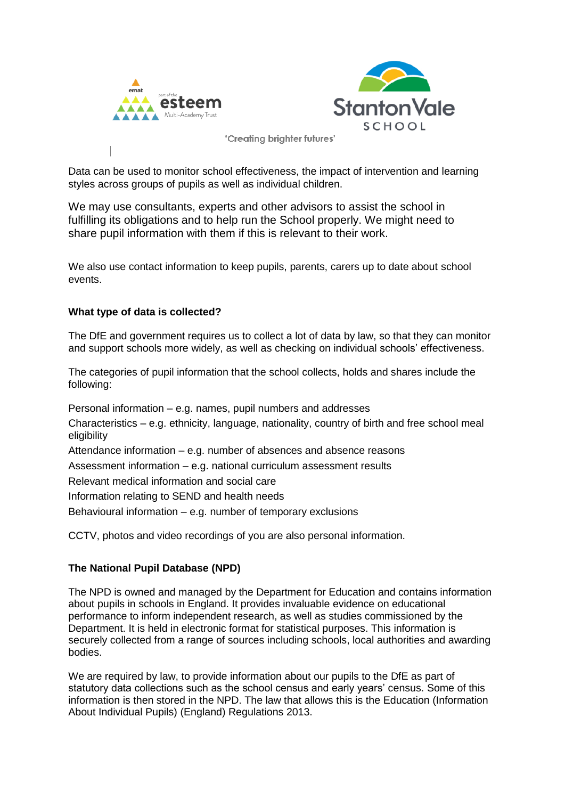



Data can be used to monitor school effectiveness, the impact of intervention and learning styles across groups of pupils as well as individual children.

We may use consultants, experts and other advisors to assist the school in fulfilling its obligations and to help run the School properly. We might need to share pupil information with them if this is relevant to their work.

We also use contact information to keep pupils, parents, carers up to date about school events.

### **What type of data is collected?**

The DfE and government requires us to collect a lot of data by law, so that they can monitor and support schools more widely, as well as checking on individual schools' effectiveness.

The categories of pupil information that the school collects, holds and shares include the following:

Personal information – e.g. names, pupil numbers and addresses Characteristics – e.g. ethnicity, language, nationality, country of birth and free school meal eligibility Attendance information – e.g. number of absences and absence reasons Assessment information – e.g. national curriculum assessment results Relevant medical information and social care Information relating to SEND and health needs Behavioural information – e.g. number of temporary exclusions

CCTV, photos and video recordings of you are also personal information.

### **The National Pupil Database (NPD)**

The NPD is owned and managed by the Department for Education and contains information about pupils in schools in England. It provides invaluable evidence on educational performance to inform independent research, as well as studies commissioned by the Department. It is held in electronic format for statistical purposes. This information is securely collected from a range of sources including schools, local authorities and awarding bodies.

We are required by law, to provide information about our pupils to the DfE as part of statutory data collections such as the school census and early years' census. Some of this information is then stored in the NPD. The law that allows this is the Education (Information About Individual Pupils) (England) Regulations 2013.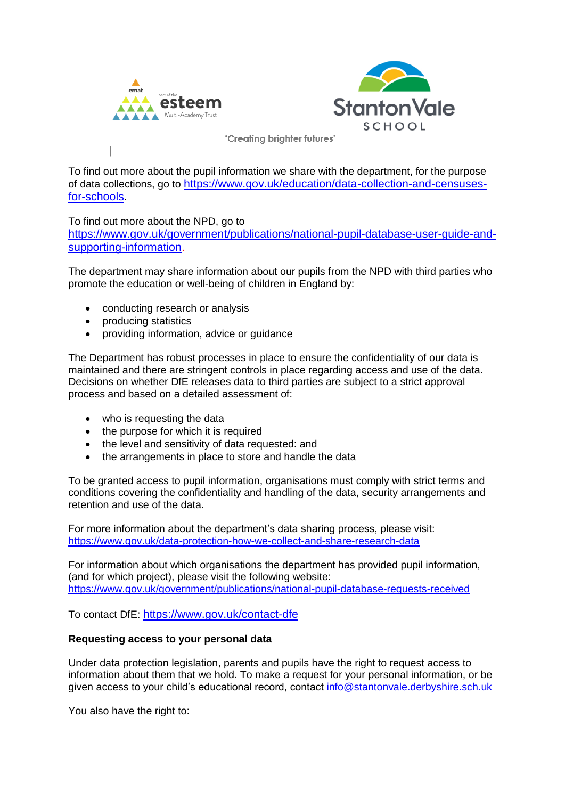



To find out more about the pupil information we share with the department, for the purpose of data collections, go to [https://www.gov.uk/education/data-collection-and-censuses](https://www.gov.uk/education/data-collection-and-censuses-for-schools)[for-schools](https://www.gov.uk/education/data-collection-and-censuses-for-schools).

To find out more about the NPD, go to

[https://www.gov.uk/government/publications/national-pupil-database-user-guide-and](https://www.gov.uk/government/publications/national-pupil-database-user-guide-and-supporting-information)[supporting-information](https://www.gov.uk/government/publications/national-pupil-database-user-guide-and-supporting-information).

The department may share information about our pupils from the NPD with third parties who promote the education or well-being of children in England by:

- conducting research or analysis
- producing statistics
- providing information, advice or quidance

The Department has robust processes in place to ensure the confidentiality of our data is maintained and there are stringent controls in place regarding access and use of the data. Decisions on whether DfE releases data to third parties are subject to a strict approval process and based on a detailed assessment of:

- who is requesting the data
- the purpose for which it is required
- the level and sensitivity of data requested: and
- the arrangements in place to store and handle the data

To be granted access to pupil information, organisations must comply with strict terms and conditions covering the confidentiality and handling of the data, security arrangements and retention and use of the data.

For more information about the department's data sharing process, please visit: <https://www.gov.uk/data-protection-how-we-collect-and-share-research-data>

For information about which organisations the department has provided pupil information, (and for which project), please visit the following website: <https://www.gov.uk/government/publications/national-pupil-database-requests-received>

To contact DfE: <https://www.gov.uk/contact-dfe>

### **Requesting access to your personal data**

Under data protection legislation, parents and pupils have the right to request access to information about them that we hold. To make a request for your personal information, or be given access to your child's educational record, contact [info@stantonvale.derbyshire.sch.uk](mailto:info@stantonvale.derbyshire.sch.uk)

You also have the right to: